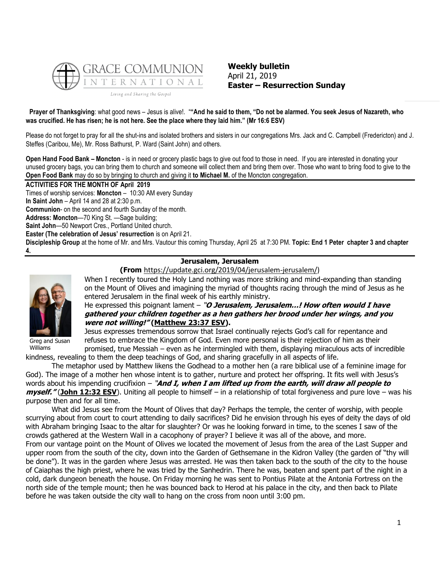

**Weekly bulletin** April 21, 2019 **Easter – Resurrection Sunday**

**Prayer of Thanksgiving**: what good news – Jesus is alive!. "**"And he said to them, "Do not be alarmed. You seek Jesus of Nazareth, who was crucified. He has risen; he is not here. See the place where they laid him." (Mr 16:6 ESV)**

Please do not forget to pray for all the shut-ins and isolated brothers and sisters in our congregations Mrs. Jack and C. Campbell (Fredericton) and J. Steffes (Caribou, Me), Mr. Ross Bathurst, P. Ward (Saint John) and others.

**Open Hand Food Bank – Moncton** - is in need or grocery plastic bags to give out food to those in need. If you are interested in donating your unused grocery bags, you can bring them to church and someone will collect them and bring them over. Those who want to bring food to give to the **Open Food Bank** may do so by bringing to church and giving it **to Michael M.** of the Moncton congregation.

#### **ACTIVITIES FOR THE MONTH OF April 2019**

Times of worship services: **Moncton** – 10:30 AM every Sunday

**In Saint John** – April 14 and 28 at 2:30 p.m.

**Communion**- on the second and fourth Sunday of the month.

**Address: Moncton**—70 King St. —Sage building;

**Saint John**—50 Newport Cres., Portland United church.

**Easter (The celebration of Jesus' resurrection** is on April 21.

**Discipleship Group** at the home of Mr. and Mrs. Vautour this coming Thursday, April 25 at 7:30 PM. **Topic: End 1 Peter chapter 3 and chapter 4.**

# **Jerusalem, Jerusalem**

**(From** [https://update.gci.org/2019/04/jerusalem-jerusalem/\)](https://update.gci.org/2019/04/jerusalem-jerusalem/)



Greg and Susan Williams

When I recently toured the Holy Land nothing was more striking and mind-expanding than standing on the Mount of Olives and imagining the myriad of thoughts racing through the mind of Jesus as he entered Jerusalem in the final week of his earthly ministry.

He expressed this poignant lament – "**O Jerusalem, Jerusalem…! How often would I have gathered your children together as a hen gathers her brood under her wings, and you were not willing!" [\(Matthew 23:37 ESV\)](https://biblia.com/bible/esv/Matt%2023.37).**

Jesus expresses tremendous sorrow that Israel continually rejects God's call for repentance and refuses to embrace the Kingdom of God. Even more personal is their rejection of him as their promised, true Messiah – even as he intermingled with them, displaying miraculous acts of incredible

kindness, revealing to them the deep teachings of God, and sharing gracefully in all aspects of life.

The metaphor used by Matthew likens the Godhead to a mother hen (a rare biblical use of a feminine image for God). The image of a mother hen whose intent is to gather, nurture and protect her offspring. It fits well with Jesus's words about his impending crucifixion – "**And I, when I am lifted up from the earth, will draw all people to myself."** (**[John 12:32 ESV](https://biblia.com/bible/esv/John%2012.32)**). Uniting all people to himself – in a relationship of total forgiveness and pure love – was his purpose then and for all time.

What did Jesus see from the Mount of Olives that day? Perhaps the temple, the center of worship, with people scurrying about from court to court attending to daily sacrifices? Did he envision through his eyes of deity the days of old with Abraham bringing Isaac to the altar for slaughter? Or was he looking forward in time, to the scenes I saw of the crowds gathered at the Western Wall in a cacophony of prayer? I believe it was all of the above, and more.

From our vantage point on the Mount of Olives we located the movement of Jesus from the area of the Last Supper and upper room from the south of the city, down into the Garden of Gethsemane in the Kidron Valley (the garden of "thy will be done"). It was in the garden where Jesus was arrested. He was then taken back to the south of the city to the house of Caiaphas the high priest, where he was tried by the Sanhedrin. There he was, beaten and spent part of the night in a cold, dark dungeon beneath the house. On Friday morning he was sent to Pontius Pilate at the Antonia Fortress on the north side of the temple mount; then he was bounced back to Herod at his palace in the city, and then back to Pilate before he was taken outside the city wall to hang on the cross from noon until 3:00 pm.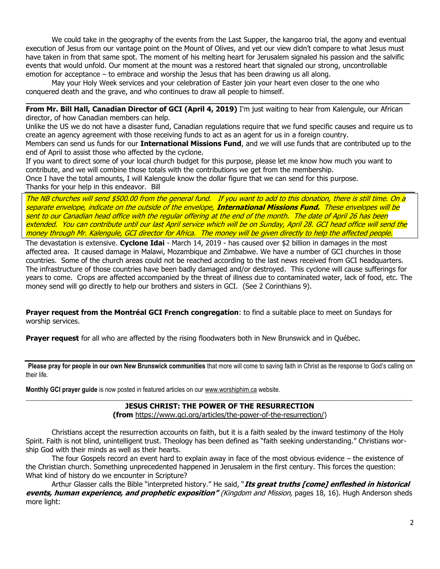We could take in the geography of the events from the Last Supper, the kangaroo trial, the agony and eventual execution of Jesus from our vantage point on the Mount of Olives, and yet our view didn't compare to what Jesus must have taken in from that same spot. The moment of his melting heart for Jerusalem signaled his passion and the salvific events that would unfold. Our moment at the mount was a restored heart that signaled our strong, uncontrollable emotion for acceptance – to embrace and worship the Jesus that has been drawing us all along.

May your Holy Week services and your celebration of Easter join your heart even closer to the one who conquered death and the grave, and who continues to draw all people to himself.

**From Mr. Bill Hall, Canadian Director of GCI (April 4, 2019)** I'm just waiting to hear from Kalengule, our African director, of how Canadian members can help.

**\_\_\_\_\_\_\_\_\_\_\_\_\_\_\_\_\_\_\_\_\_\_\_\_\_\_\_\_\_\_\_\_\_\_\_\_\_\_\_\_\_\_\_\_\_\_\_\_\_\_\_\_\_\_\_\_\_\_\_\_\_\_\_\_\_\_\_\_\_\_\_\_\_\_\_\_\_\_\_\_\_\_\_\_**

Unlike the US we do not have a disaster fund, Canadian regulations require that we fund specific causes and require us to create an agency agreement with those receiving funds to act as an agent for us in a foreign country.

Members can send us funds for our **International Missions Fund**, and we will use funds that are contributed up to the end of April to assist those who affected by the cyclone.

If you want to direct some of your local church budget for this purpose, please let me know how much you want to contribute, and we will combine those totals with the contributions we get from the membership.

Once I have the total amounts, I will Kalengule know the dollar figure that we can send for this purpose.

Thanks for your help in this endeavor. Bill

The NB churches will send \$500.00 from the general fund. If you want to add to this donation, there is still time. On a separate envelope, indicate on the outside of the envelope, **International Missions Fund.** These envelopes will be sent to our Canadian head office with the regular offering at the end of the month. The date of April 26 has been extended. You can contribute until our last April service which will be on Sunday, April 28. GCI head office will send the money through Mr. Kalengule, GCI director for Africa. The money will be given directly to help the affected people.

The devastation is extensive. **Cyclone Idai** - March 14, 2019 - has caused over \$2 billion in damages in the most affected area. It caused damage in Malawi, Mozambique and Zimbabwe. We have a number of GCI churches in those countries. Some of the church areas could not be reached according to the last news received from GCI headquarters. The infrastructure of those countries have been badly damaged and/or destroyed. This cyclone will cause sufferings for years to come. Crops are affected accompanied by the threat of illness due to contaminated water, lack of food, etc. The money send will go directly to help our brothers and sisters in GCI. (See 2 Corinthians 9).

**Prayer request from the Montréal GCI French congregation**: to find a suitable place to meet on Sundays for worship services.

**Prayer request** for all who are affected by the rising floodwaters both in New Brunswick and in Québec.

**Please pray for people in our own New Brunswick communities** that more will come to saving faith in Christ as the response to God's calling on their life.

**Monthly GCI prayer guide** is now posted in featured articles on our [www.worshiphim.ca](http://www.worshiphim.ca/) website.

#### $\_$  , and the set of the set of the set of the set of the set of the set of the set of the set of the set of the set of the set of the set of the set of the set of the set of the set of the set of the set of the set of th **JESUS CHRIST: THE POWER OF THE RESURRECTION**

**(from** [https://www.gci.org/articles/the-power-of-the-resurrection/\)](https://www.gci.org/articles/the-power-of-the-resurrection/)

Christians accept the resurrection accounts on faith, but it is a faith sealed by the inward testimony of the Holy Spirit. Faith is not blind, unintelligent trust. Theology has been defined as "faith seeking understanding." Christians worship God with their minds as well as their hearts.

The four Gospels record an event hard to explain away in face of the most obvious evidence – the existence of the Christian church. Something unprecedented happened in Jerusalem in the first century. This forces the question: What kind of history do we encounter in Scripture?

Arthur Glasser calls the Bible "interpreted history." He said, "**Its great truths [come] enfleshed in historical events, human experience, and prophetic exposition"** (Kingdom and Mission, pages 18, 16). Hugh Anderson sheds more light: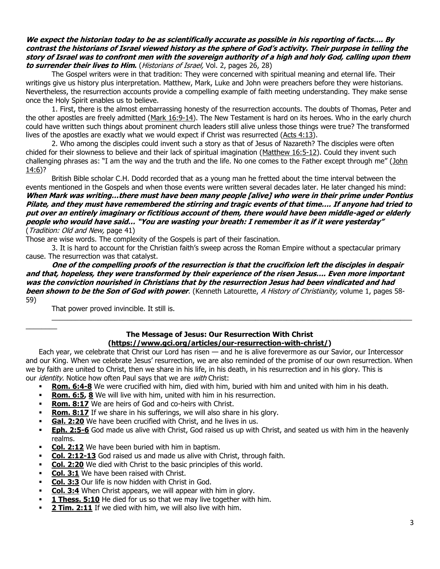## **We expect the historian today to be as scientifically accurate as possible in his reporting of facts…. By contrast the historians of Israel viewed history as the sphere of God's activity. Their purpose in telling the story of Israel was to confront men with the sovereign authority of a high and holy God, calling upon them to surrender their lives to Him.** (Historians of Israel, Vol. 2, pages 26, 28)

The Gospel writers were in that tradition: They were concerned with spiritual meaning and eternal life. Their writings give us history plus interpretation. Matthew, Mark, Luke and John were preachers before they were historians. Nevertheless, the resurrection accounts provide a compelling example of faith meeting understanding. They make sense once the Holy Spirit enables us to believe.

1. First, there is the almost embarrassing honesty of the resurrection accounts. The doubts of Thomas, Peter and the other apostles are freely admitted [\(Mark 16:9-14\)](https://biblia.com/bible/niv/Mark%2016.9-14). The New Testament is hard on its heroes. Who in the early church could have written such things about prominent church leaders still alive unless those things were true? The transformed lives of the apostles are exactly what we would expect if Christ was resurrected [\(Acts 4:13\)](https://biblia.com/bible/niv/Acts%204.13).

2. Who among the disciples could invent such a story as that of Jesus of Nazareth? The disciples were often chided for their slowness to believe and their lack of spiritual imagination [\(Matthew 16:5-12\)](https://biblia.com/bible/niv/Matt%2016.5-12). Could they invent such challenging phrases as: "I am the way and the truth and the life. No one comes to the Father except through me" (John [14:6\)](https://biblia.com/bible/niv/John%2014.6)?

British Bible scholar C.H. Dodd recorded that as a young man he fretted about the time interval between the events mentioned in the Gospels and when those events were written several decades later. He later changed his mind: **When Mark was writing…there must have been many people [alive] who were in their prime under Pontius Pilate, and they must have remembered the stirring and tragic events of that time…. If anyone had tried to put over an entirely imaginary or fictitious account of them, there would have been middle-aged or elderly people who would have said… "You are wasting your breath: I remember it as if it were yesterday"**  (Tradition: Old and New, page 41)

Those are wise words. The complexity of the Gospels is part of their fascination.

3. It is hard to account for the Christian faith's sweep across the Roman Empire without a spectacular primary cause. The resurrection was that catalyst.

**One of the compelling proofs of the resurrection is that the crucifixion left the disciples in despair and that, hopeless, they were transformed by their experience of the risen Jesus…. Even more important was the conviction nourished in Christians that by the resurrection Jesus had been vindicated and had been shown to be the Son of God with power**. (Kenneth Latourette, A History of Christianity, volume 1, pages 58- 59)

That power proved invincible. It still is.

 $\overline{\phantom{a}}$ 

## **The Message of Jesus: Our Resurrection With Christ [\(https://www.gci.org/articles/our-resurrection-with-christ/\)](https://www.gci.org/articles/our-resurrection-with-christ/)**

 $\_$  ,  $\_$  ,  $\_$  ,  $\_$  ,  $\_$  ,  $\_$  ,  $\_$  ,  $\_$  ,  $\_$  ,  $\_$  ,  $\_$  ,  $\_$  ,  $\_$  ,  $\_$  ,  $\_$  ,  $\_$  ,  $\_$  ,  $\_$  ,  $\_$  ,  $\_$  ,  $\_$  ,  $\_$  ,  $\_$  ,  $\_$  ,  $\_$  ,  $\_$  ,  $\_$  ,  $\_$  ,  $\_$  ,  $\_$  ,  $\_$  ,  $\_$  ,  $\_$  ,  $\_$  ,  $\_$  ,  $\_$  ,  $\_$  ,

Each year, we celebrate that Christ our Lord has risen — and he is alive forevermore as our Savior, our Intercessor and our King. When we celebrate Jesus' resurrection, we are also reminded of the promise of our own resurrection. When we by faith are united to Christ, then we share in his life, in his death, in his resurrection and in his glory. This is our *identity*. Notice how often Paul says that we are *with* Christ:

- **[Rom. 6:4-8](https://biblia.com/bible/niv/Rom.%206.4-8)** We were crucified with him, died with him, buried with him and united with him in his death.
- **[Rom. 6:5,](https://biblia.com/bible/niv/Rom.%206.5) [8](https://biblia.com/bible/niv/Rom%206.8)** We will live with him, united with him in his resurrection.
- **[Rom. 8:17](https://biblia.com/bible/niv/Rom.%208.17)** We are heirs of God and co-heirs with Christ.
- **[Rom. 8:17](https://biblia.com/bible/niv/Rom.%208.17)** If we share in his sufferings, we will also share in his glory.
- **[Gal. 2:20](https://biblia.com/bible/niv/Gal.%202.20)** We have been crucified with Christ, and he lives in us.
- **[Eph. 2:5-6](https://biblia.com/bible/niv/Eph.%202.5-6)** God made us alive with Christ, God raised us up with Christ, and seated us with him in the heavenly realms.
- **[Col. 2:12](https://biblia.com/bible/niv/Col.%202.12)** We have been buried with him in baptism.
- **[Col. 2:12-13](https://biblia.com/bible/niv/Col.%202.12-13)** God raised us and made us alive with Christ, through faith.
- **[Col. 2:20](https://biblia.com/bible/niv/Col.%202.20)** We died with Christ to the basic principles of this world.
- **[Col. 3:1](https://biblia.com/bible/niv/Col.%203.1)** We have been raised with Christ.
- **[Col. 3:3](https://biblia.com/bible/niv/Col.%203.3)** Our life is now hidden with Christ in God.
- **[Col. 3:4](https://biblia.com/bible/niv/Col.%203.4)** When Christ appears, we will appear with him in glory.
- **[1 Thess. 5:10](https://biblia.com/bible/niv/1%20Thess.%205.10)** He died for us so that we may live together with him.
- **[2 Tim. 2:11](https://biblia.com/bible/niv/2%20Tim.%202.11)** If we died with him, we will also live with him.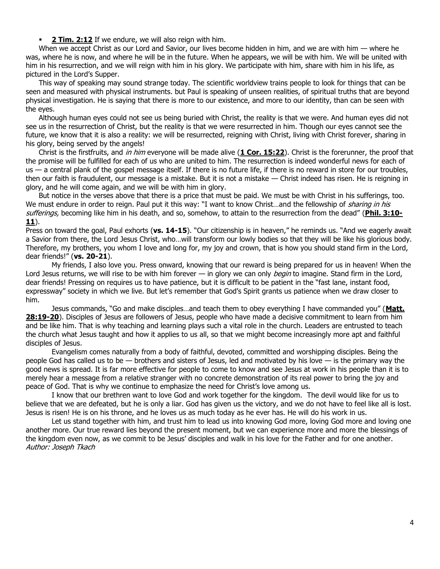**[2 Tim. 2:12](https://biblia.com/bible/niv/2%20Tim.%202.12)** If we endure, we will also reign with him.

When we accept Christ as our Lord and Savior, our lives become hidden in him, and we are with him — where he was, where he is now, and where he will be in the future. When he appears, we will be with him. We will be united with him in his resurrection, and we will reign with him in his glory. We participate with him, share with him in his life, as pictured in the Lord's Supper.

This way of speaking may sound strange today. The scientific worldview trains people to look for things that can be seen and measured with physical instruments. but Paul is speaking of unseen realities, of spiritual truths that are beyond physical investigation. He is saying that there is more to our existence, and more to our identity, than can be seen with the eyes.

Although human eyes could not see us being buried with Christ, the reality is that we were. And human eyes did not see us in the resurrection of Christ, but the reality is that we were resurrected in him. Though our eyes cannot see the future, we know that it is also a reality: we will be resurrected, reigning with Christ, living with Christ forever, sharing in his glory, being served by the angels!

Christ is the firstfruits, and in him everyone will be made alive (**[1 Cor. 15:22](https://biblia.com/bible/niv/1%20Cor.%2015.22)**). Christ is the forerunner, the proof that the promise will be fulfilled for each of us who are united to him. The resurrection is indeed wonderful news for each of us — a central plank of the gospel message itself. If there is no future life, if there is no reward in store for our troubles, then our faith is fraudulent, our message is a mistake. But it is not a mistake — Christ indeed has risen. He is reigning in glory, and he will come again, and we will be with him in glory.

But notice in the verses above that there is a price that must be paid. We must be with Christ in his sufferings, too. We must endure in order to reign. Paul put it this way: "I want to know Christ...and the fellowship of *sharing in his* sufferings, becoming like him in his death, and so, somehow, to attain to the resurrection from the dead" (**[Phil. 3:10-](https://biblia.com/bible/niv/Phil.%203.10-11) [11](https://biblia.com/bible/niv/Phil.%203.10-11)**).

Press on toward the goal, Paul exhorts (**vs. 14-15**). "Our citizenship is in heaven," he reminds us. "And we eagerly await a Savior from there, the Lord Jesus Christ, who…will transform our lowly bodies so that they will be like his glorious body. Therefore, my brothers, you whom I love and long for, my joy and crown, that is how you should stand firm in the Lord, dear friends!" (**vs. 20-21**).

My friends, I also love you. Press onward, knowing that our reward is being prepared for us in heaven! When the Lord Jesus returns, we will rise to be with him forever  $-$  in glory we can only *begin* to imagine. Stand firm in the Lord, dear friends! Pressing on requires us to have patience, but it is difficult to be patient in the "fast lane, instant food, expressway" society in which we live. But let's remember that God's Spirit grants us patience when we draw closer to him.

Jesus commands, "Go and make disciples…and teach them to obey everything I have commanded you" (**[Matt.](https://biblia.com/bible/niv/Matt.%2028.19-20)  [28:19-20](https://biblia.com/bible/niv/Matt.%2028.19-20)**). Disciples of Jesus are followers of Jesus, people who have made a decisive commitment to learn from him and be like him. That is why teaching and learning plays such a vital role in the church. Leaders are entrusted to teach the church what Jesus taught and how it applies to us all, so that we might become increasingly more apt and faithful disciples of Jesus.

Evangelism comes naturally from a body of faithful, devoted, committed and worshipping disciples. Being the people God has called us to be — brothers and sisters of Jesus, led and motivated by his love — is the primary way the good news is spread. It is far more effective for people to come to know and see Jesus at work in his people than it is to merely hear a message from a relative stranger with no concrete demonstration of its real power to bring the joy and peace of God. That is why we continue to emphasize the need for Christ's love among us.

I know that our brethren want to love God and work together for the kingdom. The devil would like for us to believe that we are defeated, but he is only a liar. God has given us the victory, and we do not have to feel like all is lost. Jesus is risen! He is on his throne, and he loves us as much today as he ever has. He will do his work in us.

Let us stand together with him, and trust him to lead us into knowing God more, loving God more and loving one another more. Our true reward lies beyond the present moment, but we can experience more and more the blessings of the kingdom even now, as we commit to be Jesus' disciples and walk in his love for the Father and for one another. Author: Joseph Tkach